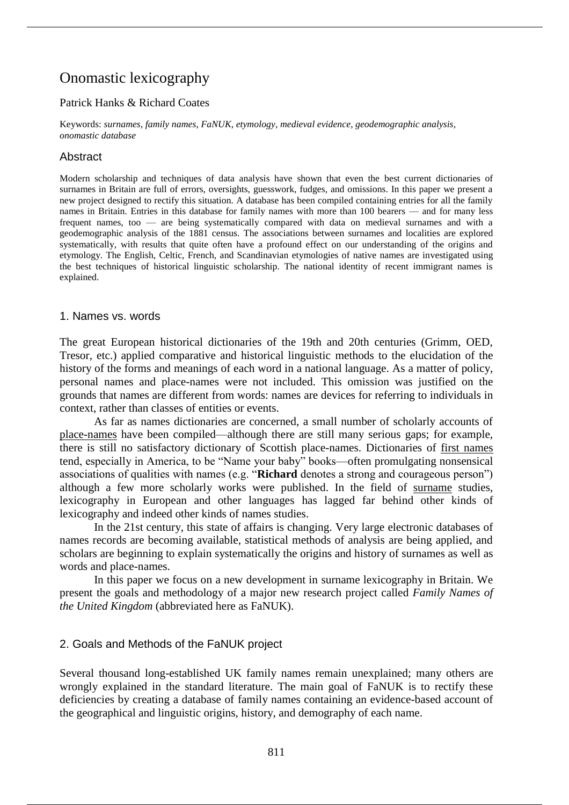# Onomastic lexicography

# Patrick Hanks & Richard Coates

Keywords: *surnames*, *family names*, *FaNUK*, *etymology*, *medieval evidence*, *geodemographic analysis*, *onomastic database*

# Abstract

Modern scholarship and techniques of data analysis have shown that even the best current dictionaries of surnames in Britain are full of errors, oversights, guesswork, fudges, and omissions. In this paper we present a new project designed to rectify this situation. A database has been compiled containing entries for all the family names in Britain. Entries in this database for family names with more than 100 bearers — and for many less frequent names, too — are being systematically compared with data on medieval surnames and with a geodemographic analysis of the 1881 census. The associations between surnames and localities are explored systematically, with results that quite often have a profound effect on our understanding of the origins and etymology. The English, Celtic, French, and Scandinavian etymologies of native names are investigated using the best techniques of historical linguistic scholarship. The national identity of recent immigrant names is explained.

## 1. Names vs. words

The great European historical dictionaries of the 19th and 20th centuries (Grimm, OED, Tresor, etc.) applied comparative and historical linguistic methods to the elucidation of the history of the forms and meanings of each word in a national language. As a matter of policy, personal names and place-names were not included. This omission was justified on the grounds that names are different from words: names are devices for referring to individuals in context, rather than classes of entities or events.

As far as names dictionaries are concerned, a small number of scholarly accounts of place-names have been compiled—although there are still many serious gaps; for example, there is still no satisfactory dictionary of Scottish place-names. Dictionaries of first names tend, especially in America, to be "Name your baby" books—often promulgating nonsensical associations of qualities with names (e.g. "**Richard** denotes a strong and courageous person") although a few more scholarly works were published. In the field of surname studies, lexicography in European and other languages has lagged far behind other kinds of lexicography and indeed other kinds of names studies.

In the 21st century, this state of affairs is changing. Very large electronic databases of names records are becoming available, statistical methods of analysis are being applied, and scholars are beginning to explain systematically the origins and history of surnames as well as words and place-names.

In this paper we focus on a new development in surname lexicography in Britain. We present the goals and methodology of a major new research project called *Family Names of the United Kingdom* (abbreviated here as FaNUK).

## 2. Goals and Methods of the FaNUK project

Several thousand long-established UK family names remain unexplained; many others are wrongly explained in the standard literature. The main goal of FaNUK is to rectify these deficiencies by creating a database of family names containing an evidence-based account of the geographical and linguistic origins, history, and demography of each name.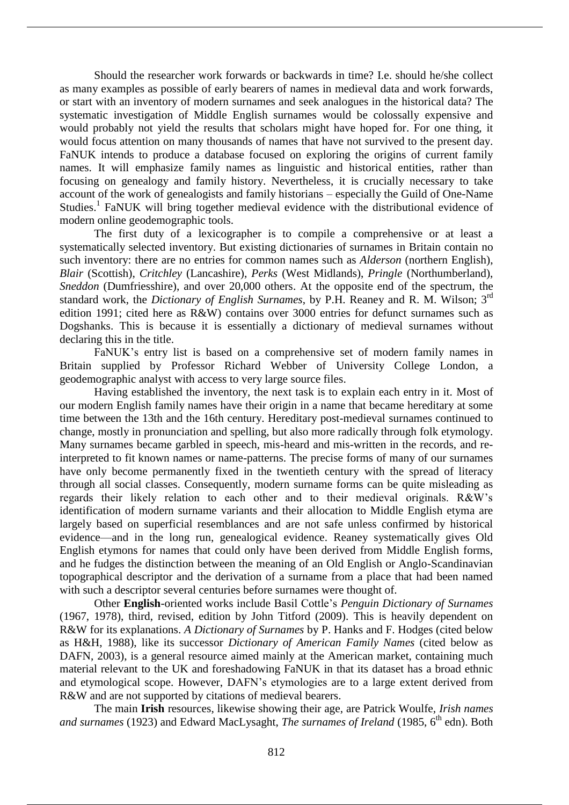Should the researcher work forwards or backwards in time? I.e. should he/she collect as many examples as possible of early bearers of names in medieval data and work forwards, or start with an inventory of modern surnames and seek analogues in the historical data? The systematic investigation of Middle English surnames would be colossally expensive and would probably not yield the results that scholars might have hoped for. For one thing, it would focus attention on many thousands of names that have not survived to the present day. FaNUK intends to produce a database focused on exploring the origins of current family names. It will emphasize family names as linguistic and historical entities, rather than focusing on genealogy and family history. Nevertheless, it is crucially necessary to take account of the work of genealogists and family historians – especially the Guild of One-Name Studies.<sup>1</sup> FaNUK will bring together medieval evidence with the distributional evidence of modern online geodemographic tools.

The first duty of a lexicographer is to compile a comprehensive or at least a systematically selected inventory. But existing dictionaries of surnames in Britain contain no such inventory: there are no entries for common names such as *Alderson* (northern English), *Blair* (Scottish), *Critchley* (Lancashire), *Perks* (West Midlands), *Pringle* (Northumberland), *Sneddon* (Dumfriesshire), and over 20,000 others. At the opposite end of the spectrum, the standard work, the *Dictionary of English Surnames*, by P.H. Reaney and R. M. Wilson; 3rd edition 1991; cited here as R&W) contains over 3000 entries for defunct surnames such as Dogshanks. This is because it is essentially a dictionary of medieval surnames without declaring this in the title.

FaNUK's entry list is based on a comprehensive set of modern family names in Britain supplied by Professor Richard Webber of University College London, a geodemographic analyst with access to very large source files.

Having established the inventory, the next task is to explain each entry in it. Most of our modern English family names have their origin in a name that became hereditary at some time between the 13th and the 16th century. Hereditary post-medieval surnames continued to change, mostly in pronunciation and spelling, but also more radically through folk etymology. Many surnames became garbled in speech, mis-heard and mis-written in the records, and reinterpreted to fit known names or name-patterns. The precise forms of many of our surnames have only become permanently fixed in the twentieth century with the spread of literacy through all social classes. Consequently, modern surname forms can be quite misleading as regards their likely relation to each other and to their medieval originals. R&W's identification of modern surname variants and their allocation to Middle English etyma are largely based on superficial resemblances and are not safe unless confirmed by historical evidence—and in the long run, genealogical evidence. Reaney systematically gives Old English etymons for names that could only have been derived from Middle English forms, and he fudges the distinction between the meaning of an Old English or Anglo-Scandinavian topographical descriptor and the derivation of a surname from a place that had been named with such a descriptor several centuries before surnames were thought of.

Other **English**-oriented works include Basil Cottle's *Penguin Dictionary of Surnames*  (1967, 1978), third, revised, edition by John Titford (2009). This is heavily dependent on R&W for its explanations. *A Dictionary of Surnames* by P. Hanks and F. Hodges (cited below as H&H, 1988), like its successor *Dictionary of American Family Names* (cited below as DAFN, 2003), is a general resource aimed mainly at the American market, containing much material relevant to the UK and foreshadowing FaNUK in that its dataset has a broad ethnic and etymological scope. However, DAFN's etymologies are to a large extent derived from R&W and are not supported by citations of medieval bearers.

The main **Irish** resources, likewise showing their age, are Patrick Woulfe, *Irish names and surnames* (1923) and Edward MacLysaght, *The surnames of Ireland* (1985, 6<sup>th</sup> edn). Both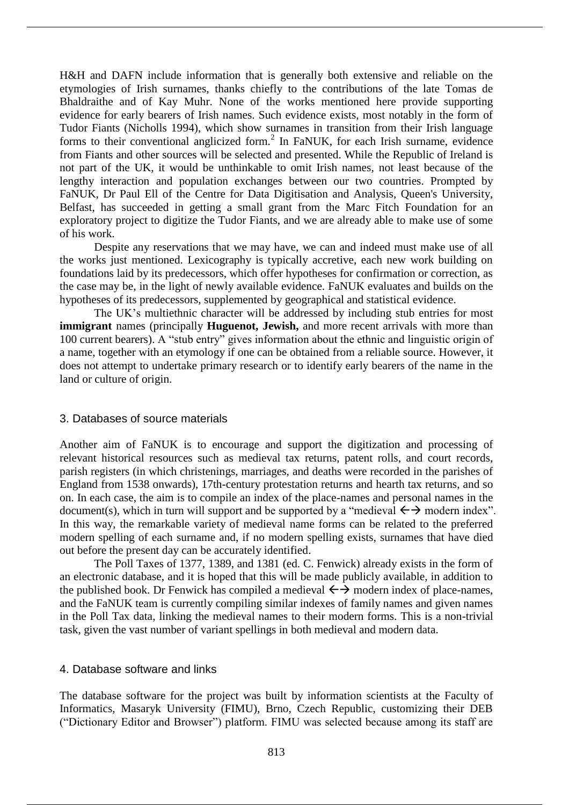H&H and DAFN include information that is generally both extensive and reliable on the etymologies of Irish surnames, thanks chiefly to the contributions of the late Tomas de Bhaldraithe and of Kay Muhr. None of the works mentioned here provide supporting evidence for early bearers of Irish names. Such evidence exists, most notably in the form of Tudor Fiants (Nicholls 1994), which show surnames in transition from their Irish language forms to their conventional anglicized form.<sup>2</sup> In FaNUK, for each Irish surname, evidence from Fiants and other sources will be selected and presented. While the Republic of Ireland is not part of the UK, it would be unthinkable to omit Irish names, not least because of the lengthy interaction and population exchanges between our two countries. Prompted by FaNUK, Dr Paul Ell of the Centre for Data Digitisation and Analysis, Queen's University, Belfast, has succeeded in getting a small grant from the Marc Fitch Foundation for an exploratory project to digitize the Tudor Fiants, and we are already able to make use of some of his work.

Despite any reservations that we may have, we can and indeed must make use of all the works just mentioned. Lexicography is typically accretive, each new work building on foundations laid by its predecessors, which offer hypotheses for confirmation or correction, as the case may be, in the light of newly available evidence. FaNUK evaluates and builds on the hypotheses of its predecessors, supplemented by geographical and statistical evidence.

The UK's multiethnic character will be addressed by including stub entries for most **immigrant** names (principally **Huguenot, Jewish,** and more recent arrivals with more than 100 current bearers). A "stub entry" gives information about the ethnic and linguistic origin of a name, together with an etymology if one can be obtained from a reliable source. However, it does not attempt to undertake primary research or to identify early bearers of the name in the land or culture of origin.

### 3. Databases of source materials

Another aim of FaNUK is to encourage and support the digitization and processing of relevant historical resources such as medieval tax returns, patent rolls, and court records, parish registers (in which christenings, marriages, and deaths were recorded in the parishes of England from 1538 onwards), 17th-century protestation returns and hearth tax returns, and so on. In each case, the aim is to compile an index of the place-names and personal names in the document(s), which in turn will support and be supported by a "medieval  $\leftrightarrow$  modern index". In this way, the remarkable variety of medieval name forms can be related to the preferred modern spelling of each surname and, if no modern spelling exists, surnames that have died out before the present day can be accurately identified.

The Poll Taxes of 1377, 1389, and 1381 (ed. C. Fenwick) already exists in the form of an electronic database, and it is hoped that this will be made publicly available, in addition to the published book. Dr Fenwick has compiled a medieval  $\leftrightarrow$  modern index of place-names, and the FaNUK team is currently compiling similar indexes of family names and given names in the Poll Tax data, linking the medieval names to their modern forms. This is a non-trivial task, given the vast number of variant spellings in both medieval and modern data.

### 4. Database software and links

The database software for the project was built by information scientists at the Faculty of Informatics, Masaryk University (FIMU), Brno, Czech Republic, customizing their DEB ("Dictionary Editor and Browser") platform. FIMU was selected because among its staff are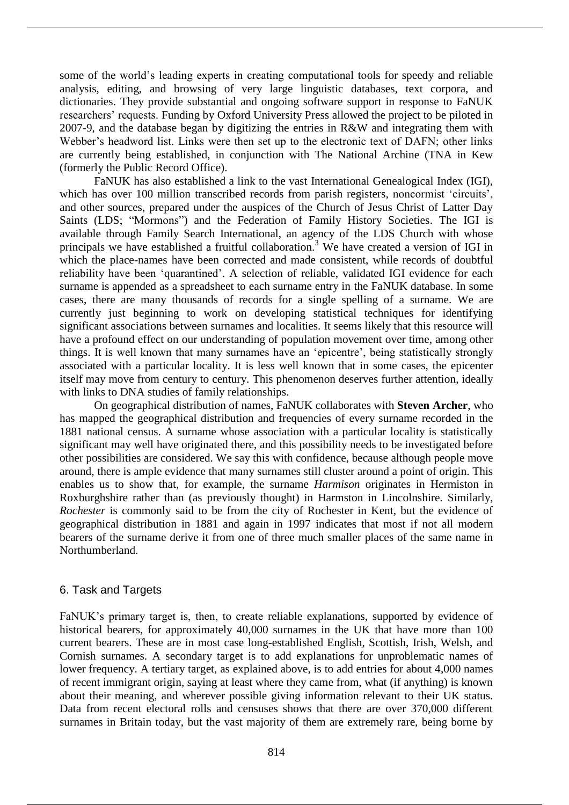some of the world's leading experts in creating computational tools for speedy and reliable analysis, editing, and browsing of very large linguistic databases, text corpora, and dictionaries. They provide substantial and ongoing software support in response to FaNUK researchers' requests. Funding by Oxford University Press allowed the project to be piloted in 2007-9, and the database began by digitizing the entries in R&W and integrating them with Webber's headword list. Links were then set up to the electronic text of DAFN; other links are currently being established, in conjunction with The National Archine (TNA in Kew (formerly the Public Record Office).

FaNUK has also established a link to the vast International Genealogical Index (IGI), which has over 100 million transcribed records from parish registers, noncormist 'circuits', and other sources, prepared under the auspices of the Church of Jesus Christ of Latter Day Saints (LDS; "Mormons") and the Federation of Family History Societies. The IGI is available through Family Search International, an agency of the LDS Church with whose principals we have established a fruitful collaboration.<sup>3</sup> We have created a version of IGI in which the place-names have been corrected and made consistent, while records of doubtful reliability have been 'quarantined'. A selection of reliable, validated IGI evidence for each surname is appended as a spreadsheet to each surname entry in the FaNUK database. In some cases, there are many thousands of records for a single spelling of a surname. We are currently just beginning to work on developing statistical techniques for identifying significant associations between surnames and localities. It seems likely that this resource will have a profound effect on our understanding of population movement over time, among other things. It is well known that many surnames have an 'epicentre', being statistically strongly associated with a particular locality. It is less well known that in some cases, the epicenter itself may move from century to century. This phenomenon deserves further attention, ideally with links to DNA studies of family relationships.

On geographical distribution of names, FaNUK collaborates with **Steven Archer**, who has mapped the geographical distribution and frequencies of every surname recorded in the 1881 national census. A surname whose association with a particular locality is statistically significant may well have originated there, and this possibility needs to be investigated before other possibilities are considered. We say this with confidence, because although people move around, there is ample evidence that many surnames still cluster around a point of origin. This enables us to show that, for example, the surname *Harmison* originates in Hermiston in Roxburghshire rather than (as previously thought) in Harmston in Lincolnshire. Similarly, *Rochester* is commonly said to be from the city of Rochester in Kent, but the evidence of geographical distribution in 1881 and again in 1997 indicates that most if not all modern bearers of the surname derive it from one of three much smaller places of the same name in Northumberland.

# 6. Task and Targets

FaNUK's primary target is, then, to create reliable explanations, supported by evidence of historical bearers, for approximately 40,000 surnames in the UK that have more than 100 current bearers. These are in most case long-established English, Scottish, Irish, Welsh, and Cornish surnames. A secondary target is to add explanations for unproblematic names of lower frequency. A tertiary target, as explained above, is to add entries for about 4,000 names of recent immigrant origin, saying at least where they came from, what (if anything) is known about their meaning, and wherever possible giving information relevant to their UK status. Data from recent electoral rolls and censuses shows that there are over 370,000 different surnames in Britain today, but the vast majority of them are extremely rare, being borne by